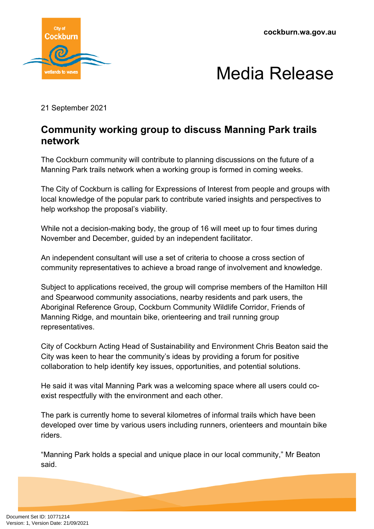**cockburn.wa.gov.au**





21 September 2021

## **Community working group to discuss Manning Park trails network**

The Cockburn community will contribute to planning discussions on the future of a Manning Park trails network when a working group is formed in coming weeks.

The City of Cockburn is calling for Expressions of Interest from people and groups with local knowledge of the popular park to contribute varied insights and perspectives to help workshop the proposal's viability.

While not a decision-making body, the group of 16 will meet up to four times during November and December, guided by an independent facilitator.

An independent consultant will use a set of criteria to choose a cross section of community representatives to achieve a broad range of involvement and knowledge.

Subject to applications received, the group will comprise members of the Hamilton Hill and Spearwood community associations, nearby residents and park users, the Aboriginal Reference Group, Cockburn Community Wildlife Corridor, Friends of Manning Ridge, and mountain bike, orienteering and trail running group representatives.

City of Cockburn Acting Head of Sustainability and Environment Chris Beaton said the City was keen to hear the community's ideas by providing a forum for positive collaboration to help identify key issues, opportunities, and potential solutions.

He said it was vital Manning Park was a welcoming space where all users could coexist respectfully with the environment and each other.

The park is currently home to several kilometres of informal trails which have been developed over time by various users including runners, orienteers and mountain bike riders.

"Manning Park holds a special and unique place in our local community," Mr Beaton said.